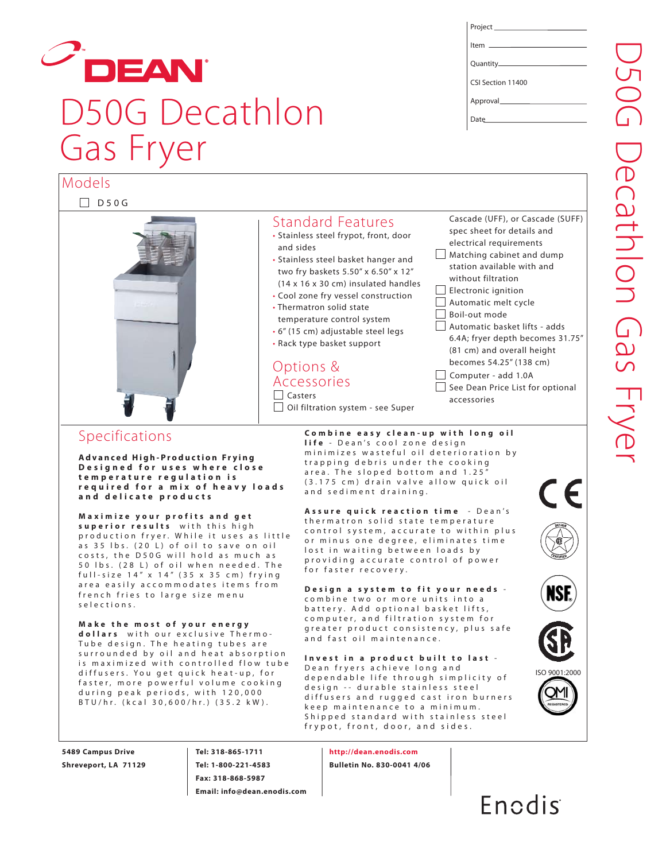## DEAN D50G Decathlon Gas Fryer

| Project ____________________________ |
|--------------------------------------|
|                                      |
|                                      |
| CSI Section 11400                    |
|                                      |
|                                      |
|                                      |

#### D50G Models Standard Features • Stainless steel frypot, front, door and sides • Stainless steel basket hanger and two fry baskets 5.50" x 6.50" x 12" (14 x 16 x 30 cm) insulated handles • Cool zone fry vessel construction • Thermatron solid state temperature control system • 6" (15 cm) adjustable steel legs • Rack type basket support Options & Accessories Casters Oil filtration system - see Super Cascade (UFF), or Cascade (SUFF) spec sheet for details and electrical requirements Matching cabinet and dump station available with and without filtration  $\Box$  Electronic ignition Automatic melt cycle Boil-out mode Automatic basket lifts - adds 6.4A; fryer depth becomes 31.75" (81 cm) and overall height becomes 54.25" (138 cm) Computer - add 1.0A See Dean Price List for optional accessories

### Specifications

**Advanced High-Production Frying Designed for uses where close temperature regulation is required for a mix of heavy loads and delicate products**

**Maximize your profits and get superior results** with this high production fryer. While it uses as little as 35 lbs. (20 L) of oil to save on oil costs, the D50G will hold as much as 50 lbs. (28 L) of oil when needed. The full-size 14" x 14" (35 x 35 cm) frying area easily accommodates items from french fries to large size menu selections.

**Make the most of your energy dollars** with our exclusive Thermo-Tube design. The heating tubes are surrounded by oil and heat absorption is maximized with controlled flow tube diffusers. You get quick heat-up, for faster, more powerful volume cooking during peak periods, with 120,000 BTU/hr. (kcal 30,600/hr.) (35.2 kW ).

**Combine easy clean-up with long oil life** - Dean's cool zone design minimizes wasteful oil deterioration by trapping debris under the cooking area. The sloped bottom and 1.25" (3.175 cm) drain valve allow quick oil and sediment draining.

**Assure quick reaction time** - Dean's thermatron solid state temperature control system, accurate to within plus or minus one degree, eliminates time lost in waiting between loads by providing accurate control of power for faster recovery.

**Design a system to fit your needs** combine two or more units into a battery. Add optional basket lifts, computer, and filtration system for greater product consistency, plus safe and fast oil maintenance.

**Invest in a product built to last** - Dean fryers achieve long and dependable life through simplicity of design -- durable stainless steel diffusers and rugged cast iron burners keep maintenance to a minimum. Shipped standard with stainless steel frypot, front, door, and sides.

**5489 Campus Drive Shreveport, LA 71129** **Tel: 318-865-1711 Tel: 1-800-221-4583 Fax: 318-868-5987 Email: info@dean.enodis.com**

**http://dean.enodis.com Bulletin No. 830-0041 4/06**



ISO 9001:2000

CE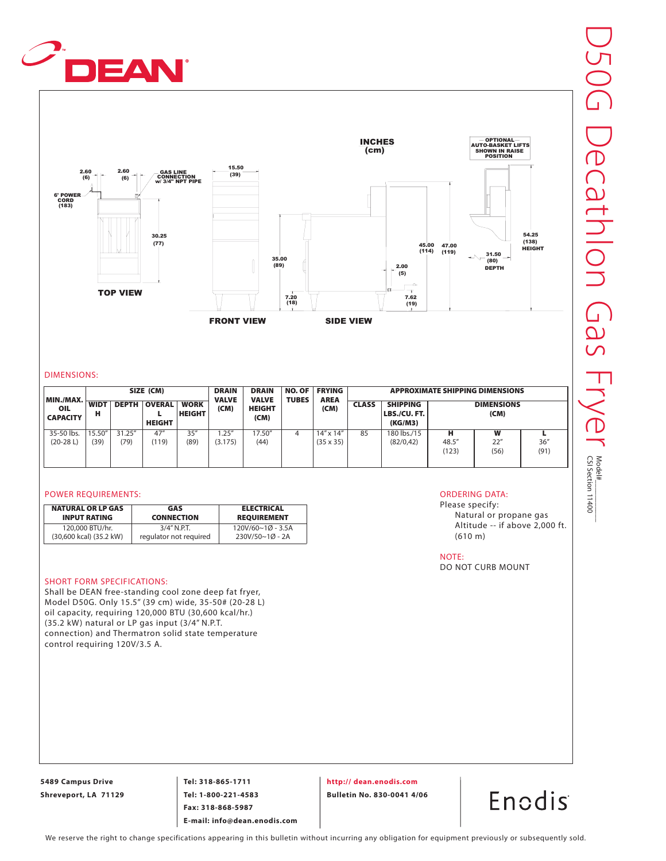



#### DIMENSIONS:

| MIN./MAX.                |                  |                | SIZE (CM)                      |                              | <b>DRAIN</b><br><b>VALVE</b> | <b>DRAIN</b><br><b>VALVE</b> | <b>NO. OF</b><br><b>TUBES</b> | <b>FRYING</b><br><b>AREA</b>           |    |                                           |                     | <b>APPROXIMATE SHIPPING DIMENSIONS</b> |              |  |
|--------------------------|------------------|----------------|--------------------------------|------------------------------|------------------------------|------------------------------|-------------------------------|----------------------------------------|----|-------------------------------------------|---------------------|----------------------------------------|--------------|--|
| OIL<br><b>CAPACITY</b>   | <b>WIDT</b><br>н | <b>DEPTH</b>   | <b>OVERAL</b><br><b>HEIGHT</b> | <b>WORK</b><br><b>HEIGHT</b> | (CM)                         | <b>HEIGHT</b><br>(CM)        |                               | (CM)                                   |    | <b>SHIPPING</b><br>LBS./CU.FT.<br>(KG/M3) |                     | <b>DIMENSIONS</b><br>(CM)              |              |  |
| 35-50 lbs.<br>$(20-28L)$ | 15.50"<br>(39)   | 31.25"<br>(79) | 47''<br>(119)                  | 35''<br>(89)                 | 1.25''<br>(3.175)            | 17.50"<br>(44)               | 4                             | $14'' \times 14''$<br>$(35 \times 35)$ | 85 | 180 lbs./15<br>(82/0, 42)                 | н<br>48.5"<br>(123) | W<br>22"<br>(56)                       | 36''<br>(91) |  |

#### POWER REQUIREMENTS:

| <b>NATURAL OR LP GAS</b> | GAS                    | <b>ELECTRICAL</b>  |
|--------------------------|------------------------|--------------------|
| <b>INPUT RATING</b>      | <b>CONNECTION</b>      | <b>REQUIREMENT</b> |
| 120,000 BTU/hr.          | $3/4''$ N.P.T.         | 120V/60~10~3.5A    |
| (30,600 kcal) (35.2 kW)  | regulator not required | 230V/50~1Ø - 2A    |

#### SHORT FORM SPECIFICATIONS:

Shall be DEAN free-standing cool zone deep fat fryer, Model D50G. Only 15.5" (39 cm) wide, 35-50# (20-28 L) oil capacity, requiring 120,000 BTU (30,600 kcal/hr.) (35.2 kW) natural or LP gas input (3/4" N.P.T. connection) and Thermatron solid state temperature control requiring 120V/3.5 A.

#### ORDERING DATA:

Please specify: Natural or propane gas Altitude -- if above 2,000 ft. (610 m)

NOTE:

DO NOT CURB MOUNT

**5489 Campus Drive Shreveport, LA 71129**

**Tel: 318-865-1711 Tel: 1-800-221-4583 Fax: 318-868-5987 E-mail: info@dean.enodis.com** **http:// dean.enodis.com**

**Bulletin No. 830-0041 4/06**

Enodis

We reserve the right to change specifications appearing in this bulletin without incurring any obligation for equipment previously or subsequently sold.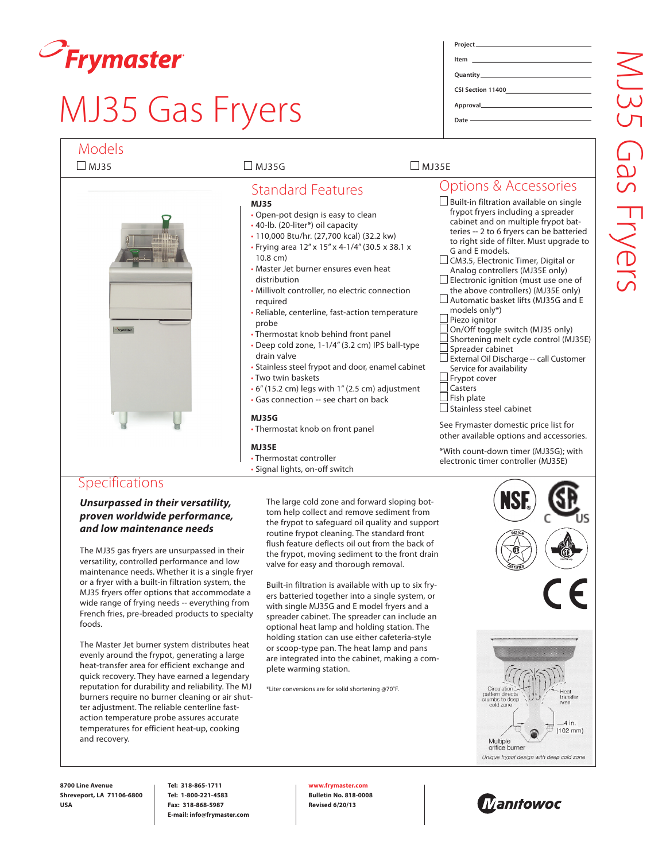

### MJ35 Gas Fryers

| Project ________________________ |
|----------------------------------|
|                                  |
|                                  |
|                                  |
|                                  |
|                                  |
|                                  |
|                                  |
|                                  |
| Date ———————————————             |
|                                  |

| <b>Models</b><br>$\Box$ MJ35 | $\square$ MJ35G                                                                                                                                                                                                                                                                                                                                                                                                                                                                                                                                                                                                                                                                                                                                                                                                                             | $\square$ MJ35E                                                                                                                                                                                                                                                                                                                                                                                                                                                                                                                                                                                                                                                                                                                                                                                                                                                                                                                 |
|------------------------------|---------------------------------------------------------------------------------------------------------------------------------------------------------------------------------------------------------------------------------------------------------------------------------------------------------------------------------------------------------------------------------------------------------------------------------------------------------------------------------------------------------------------------------------------------------------------------------------------------------------------------------------------------------------------------------------------------------------------------------------------------------------------------------------------------------------------------------------------|---------------------------------------------------------------------------------------------------------------------------------------------------------------------------------------------------------------------------------------------------------------------------------------------------------------------------------------------------------------------------------------------------------------------------------------------------------------------------------------------------------------------------------------------------------------------------------------------------------------------------------------------------------------------------------------------------------------------------------------------------------------------------------------------------------------------------------------------------------------------------------------------------------------------------------|
|                              |                                                                                                                                                                                                                                                                                                                                                                                                                                                                                                                                                                                                                                                                                                                                                                                                                                             |                                                                                                                                                                                                                                                                                                                                                                                                                                                                                                                                                                                                                                                                                                                                                                                                                                                                                                                                 |
| Frymaster                    | <b>Standard Features</b><br><b>MJ35</b><br>• Open-pot design is easy to clean<br>• 40-lb. (20-liter*) oil capacity<br>• 110,000 Btu/hr. (27,700 kcal) (32.2 kw)<br>• Frying area 12" x 15" x 4-1/4" (30.5 x 38.1 x<br>$10.8$ cm)<br>• Master Jet burner ensures even heat<br>distribution<br>• Millivolt controller, no electric connection<br>required<br>• Reliable, centerline, fast-action temperature<br>probe<br>• Thermostat knob behind front panel<br>· Deep cold zone, 1-1/4" (3.2 cm) IPS ball-type<br>drain valve<br>• Stainless steel frypot and door, enamel cabinet<br>• Two twin baskets<br>$\cdot$ 6" (15.2 cm) legs with 1" (2.5 cm) adjustment<br>• Gas connection -- see chart on back<br><b>MJ35G</b><br>• Thermostat knob on front panel<br><b>MJ35E</b><br>• Thermostat controller<br>• Signal lights, on-off switch | Options & Accessories<br>$\Box$ Built-in filtration available on single<br>frypot fryers including a spreader<br>cabinet and on multiple frypot bat-<br>teries -- 2 to 6 fryers can be batteried<br>to right side of filter. Must upgrade to<br>G and E models.<br>$\Box$ CM3.5, Electronic Timer, Digital or<br>Analog controllers (MJ35E only)<br>Electronic ignition (must use one of<br>the above controllers) (MJ35E only)<br>$\Box$ Automatic basket lifts (MJ35G and E<br>models only*)<br>Piezo ignitor<br>On/Off toggle switch (MJ35 only)<br>Shortening melt cycle control (MJ35E)<br>Spreader cabinet<br>External Oil Discharge -- call Customer<br>Service for availability<br>Frypot cover<br>Casters<br>Fish plate<br>Stainless steel cabinet<br>See Frymaster domestic price list for<br>other available options and accessories.<br>*With count-down timer (MJ35G); with<br>electronic timer controller (MJ35E) |

#### **Specifications**

*Unsurpassed in their versatility, proven worldwide performance, and low maintenance needs*

The MJ35 gas fryers are unsurpassed in their versatility, controlled performance and low maintenance needs. Whether it is a single fryer or a fryer with a built-in filtration system, the MJ35 fryers offer options that accommodate a wide range of frying needs -- everything from French fries, pre-breaded products to specialty foods.

The Master Jet burner system distributes heat evenly around the frypot, generating a large heat-transfer area for efficient exchange and quick recovery. They have earned a legendary reputation for durability and reliability. The MJ burners require no burner cleaning or air shutter adjustment. The reliable centerline fastaction temperature probe assures accurate temperatures for efficient heat-up, cooking and recovery.

The large cold zone and forward sloping bottom help collect and remove sediment from the frypot to safeguard oil quality and support routine frypot cleaning. The standard front flush feature deflects oil out from the back of the frypot, moving sediment to the front drain valve for easy and thorough removal.

Built-in filtration is available with up to six fryers batteried together into a single system, or with single MJ35G and E model fryers and a spreader cabinet. The spreader can include an optional heat lamp and holding station. The holding station can use either cafeteria-style or scoop-type pan. The heat lamp and pans are integrated into the cabinet, making a complete warming station.

\*Liter conversions are for solid shortening @70°F.



4 in.  $(102 \, \text{mm})$ 

**8700 Line Avenue Shreveport, LA 71106-6800 USA**

**Tel: 318-865-1711 Tel: 1-800-221-4583 Fax: 318-868-5987 E-mail: info@frymaster.com**

**www.frymaster.com Bulletin No. 818-0008 Revised 6/20/13**



Unique frypot design with deep cold zone

Multiple orifice burner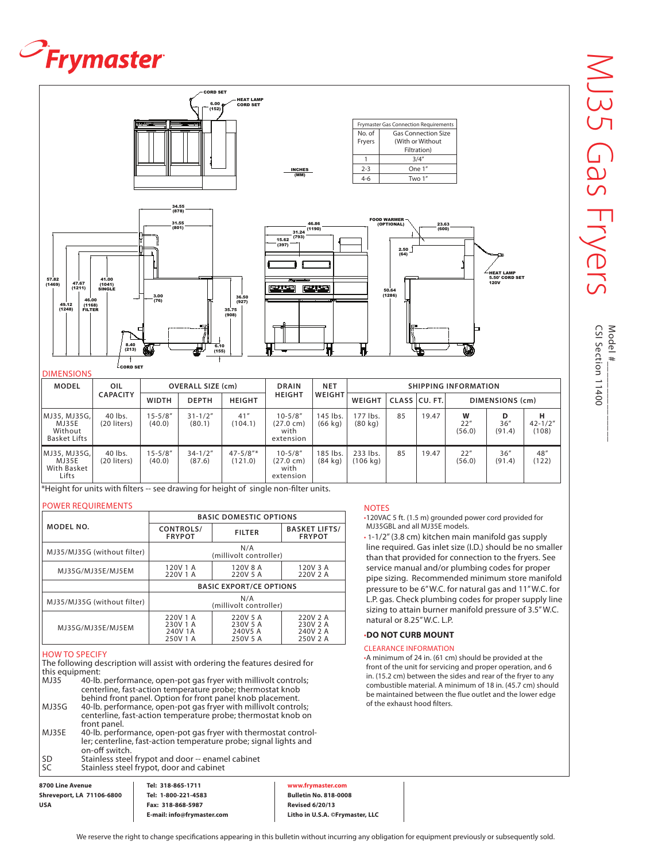# $\mathcal{O}_F$ rymaster



| <b>MODEL</b>                                               | OIL<br><b>CAPACITY</b> | <b>OVERALL SIZE (cm)</b> |                       | <b>DRAIN</b>             |                                                          | <b>NET</b>                    | <b>SHIPPING INFORMATION</b> |    |       |                    |                     |                           |  |
|------------------------------------------------------------|------------------------|--------------------------|-----------------------|--------------------------|----------------------------------------------------------|-------------------------------|-----------------------------|----|-------|--------------------|---------------------|---------------------------|--|
|                                                            |                        | <b>WIDTH</b>             | <b>DEPTH</b>          | <b>HEIGHT</b>            | <b>HEIGHT</b>                                            | WEIGHT                        | CLASS CU. FT.<br>WEIGHT     |    |       |                    |                     | DIMENSIONS (cm)           |  |
| lMJ35, MJ35G, l<br>MJ35E<br>Without<br><b>Basket Lifts</b> | 40 lbs.<br>(20 liters) | $15 - 5/8"$<br>(40.0)    | $31 - 1/2"$<br>(80.1) | 41''<br>(104.1)          | $10 - 5/8"$<br>(27.0 cm)<br>with<br>extension            | 145 lbs.<br>$(66$ kg)         | 177 lbs.<br>(80 kg)         | 85 | 19.47 | W<br>22"<br>(56.0) | D<br>36''<br>(91.4) | н<br>$42 - 1/2"$<br>(108) |  |
| MJ35, MJ35G,<br>MJ35E<br>With Basket<br>Lifts              | 40 lbs.<br>(20 liters) | $15 - 5/8"$<br>(40.0)    | $34 - 1/2"$<br>(87.6) | $47 - 5/8"$ *<br>(121.0) | $10 - 5/8''$<br>$(27.0 \text{ cm})$<br>with<br>extension | 185 lbs.<br>$(84 \text{ kg})$ | 233 lbs.<br>(106 kg)        | 85 | 19.47 | 22"<br>(56.0)      | 36''<br>(91.4)      | 48"<br>(122)              |  |

\*Height for units with filters -- see drawing for height of single non-filter units.

#### POWER REQUIREMENTS

|                             | <b>BASIC DOMESTIC OPTIONS</b>               |                                             |                                              |  |  |  |  |
|-----------------------------|---------------------------------------------|---------------------------------------------|----------------------------------------------|--|--|--|--|
| MODEL NO.                   | CONTROLS/<br><b>FRYPOT</b>                  | <b>FILTER</b>                               | <b>BASKET LIFTS/</b><br><b>FRYPOT</b>        |  |  |  |  |
| MJ35/MJ35G (without filter) | N/A<br>(millivolt controller)               |                                             |                                              |  |  |  |  |
| MJ35G/MJ35E/MJ5EM           | 120V 1 A<br>220V 1 A                        | 120V 8 A<br>220V 5 A                        | 120V 3 A<br>220V 2 A                         |  |  |  |  |
|                             | <b>BASIC EXPORT/CE OPTIONS</b>              |                                             |                                              |  |  |  |  |
| MJ35/MJ35G (without filter) | N/A<br>(millivolt controller)               |                                             |                                              |  |  |  |  |
| MJ35G/MJ35E/MJ5EM           | 220V 1 A<br>230V 1 A<br>240V 1A<br>250V 1 A | 220V 5 A<br>230V 5 A<br>240V5 A<br>250V 5 A | 220V 2 A<br>230V 2 A<br>240V 2 A<br>250V 2 A |  |  |  |  |

#### how to specify

The following description will assist with ordering the features desired for this equipment:

- 40-lb. performance, open-pot gas fryer with millivolt controls; centerline, fast-action temperature probe; thermostat knob behind front panel. Option for front panel knob placement. MJ35G 40-lb. performance, open-pot gas fryer with millivolt controls;
- centerline, fast-action temperature probe; thermostat knob on front panel. MJ35E 40-lb. performance, open-pot gas fryer with thermostat control-
- ler; centerline, fast-action temperature probe; signal lights and on-off switch.
- SD Stainless steel frypot and door -- enamel cabinet<br>SC Stainless steel frypot, door and cabinet Stainless steel frypot, door and cabinet

#### **8700 Line Avenue Shreveport, LA 71106-6800 USA**

**Tel: 318-865-1711 Tel: 1-800-221-4583 Fax: 318-868-5987 E-mail: info@frymaster.com**

**www.frymaster.com Bulletin No. 818-0008 Revised 6/20/13 Litho in U.S.A. ©Frymaster, LLC**

#### **NOTES**

•120VAC 5 ft. (1.5 m) grounded power cord provided for MJ35GBL and all MJ35E models.

• 1-1/2" (3.8 cm) kitchen main manifold gas supply line required. Gas inlet size (I.D.) should be no smaller than that provided for connection to the fryers. See service manual and/or plumbing codes for proper pipe sizing. Recommended minimum store manifold pressure to be 6" W.C. for natural gas and 11" W.C. for L.P. gas. Check plumbing codes for proper supply line sizing to attain burner manifold pressure of 3.5" W.C. natural or 8.25" W.C. L.P.

#### •**DO NOT CURB MOUNT**

#### CLEARANCE INFORMATION

•A minimum of 24 in. (61 cm) should be provided at the front of the unit for servicing and proper operation, and 6 in. (15.2 cm) between the sides and rear of the fryer to any combustible material. A minimum of 18 in. (45.7 cm) should be maintained between the flue outlet and the lower edge of the exhaust hood filters.

Model CSI Section 11400 CSI Section 11400 Model #\_\_\_\_\_\_\_\_\_\_\_\_\_\_\_  $#$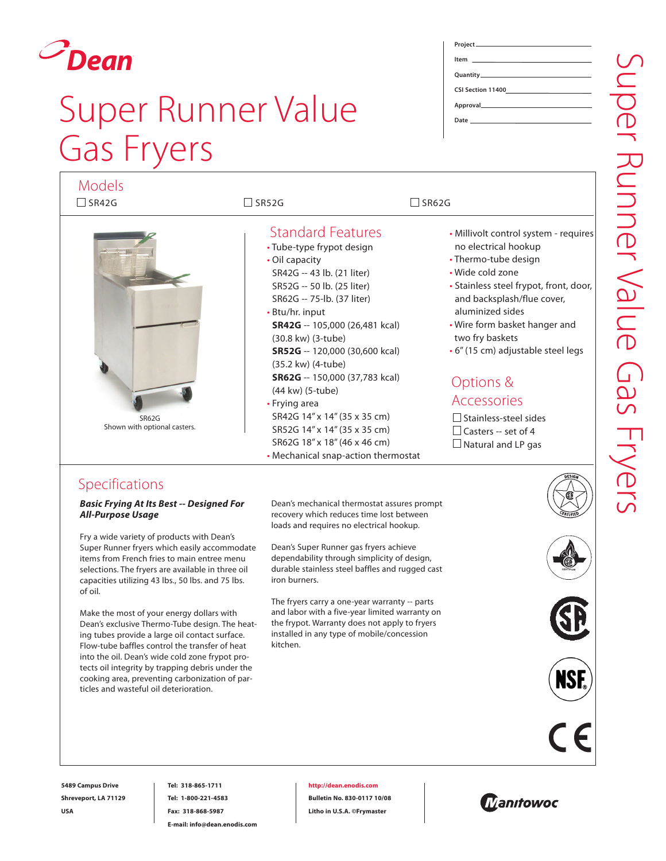

### Super Runner Value Gas Fryers

| <b>Models</b><br>$\Box$ SR42G                | $\Box$ SR52G                                                                                                                                                                                                                                                                                                                                                                                                                                                                                                              | $\Box$ SR62G                                                                                                                                                                                                                                                                                                                                                                                                                        |
|----------------------------------------------|---------------------------------------------------------------------------------------------------------------------------------------------------------------------------------------------------------------------------------------------------------------------------------------------------------------------------------------------------------------------------------------------------------------------------------------------------------------------------------------------------------------------------|-------------------------------------------------------------------------------------------------------------------------------------------------------------------------------------------------------------------------------------------------------------------------------------------------------------------------------------------------------------------------------------------------------------------------------------|
| <b>SR62G</b><br>Shown with optional casters. | <b>Standard Features</b><br>• Tube-type frypot design<br>• Oil capacity<br>SR42G -- 43 lb. (21 liter)<br>SR52G -- 50 lb. (25 liter)<br>SR62G -- 75-lb. (37 liter)<br>• Btu/hr. input<br><b>SR42G</b> -- 105,000 (26,481 kcal)<br>(30.8 kw) (3-tube)<br>SR52G -- 120,000 (30,600 kcal)<br>(35.2 kw) (4-tube)<br>SR62G -- 150,000 (37,783 kcal)<br>(44 kw) (5-tube)<br>• Frying area<br>SR42G 14" x 14" (35 x 35 cm)<br>SR52G 14" x 14" (35 x 35 cm)<br>SR62G 18" x 18" (46 x 46 cm)<br>• Mechanical snap-action thermostat | · Millivolt control system - requires<br>no electrical hookup<br>• Thermo-tube design<br>• Wide cold zone<br>• Stainless steel frypot, front, door,<br>and backsplash/flue cover,<br>aluminized sides<br>• Wire form basket hanger and<br>two fry baskets<br>$\cdot$ 6" (15 cm) adjustable steel legs<br>Options &<br><b>Accessories</b><br>$\Box$ Stainless-steel sides<br>$\Box$ Casters -- set of 4<br>$\Box$ Natural and LP gas |

### Specifications

*Basic Frying At Its Best -- Designed For All-Purpose Usage*

Fry a wide variety of products with Dean's Super Runner fryers which easily accommodate items from French fries to main entree menu selections. The fryers are available in three oil capacities utilizing 43 lbs., 50 lbs. and 75 lbs. of oil.

Make the most of your energy dollars with Dean's exclusive Thermo-Tube design. The heating tubes provide a large oil contact surface. Flow-tube baffles control the transfer of heat into the oil. Dean's wide cold zone frypot protects oil integrity by trapping debris under the cooking area, preventing carbonization of particles and wasteful oil deterioration.

Dean's mechanical thermostat assures prompt recovery which reduces time lost between loads and requires no electrical hookup.

Dean's Super Runner gas fryers achieve dependability through simplicity of design, durable stainless steel baffles and rugged cast iron burners.

The fryers carry a one-year warranty -- parts and labor with a five-year limited warranty on the frypot. Warranty does not apply to fryers installed in any type of mobile/concession kitchen.





**5489 Campus Drive Shreveport, LA 71129 USA**

**Tel: 318-865-1711 Tel: 1-800-221-4583 Fax: 318-868-5987 E-mail: info@dean.enodis.com**

**http://dean.enodis.com**

**Bulletin No. 830-0117 10/08 Litho in U.S.A. ©Frymaster**